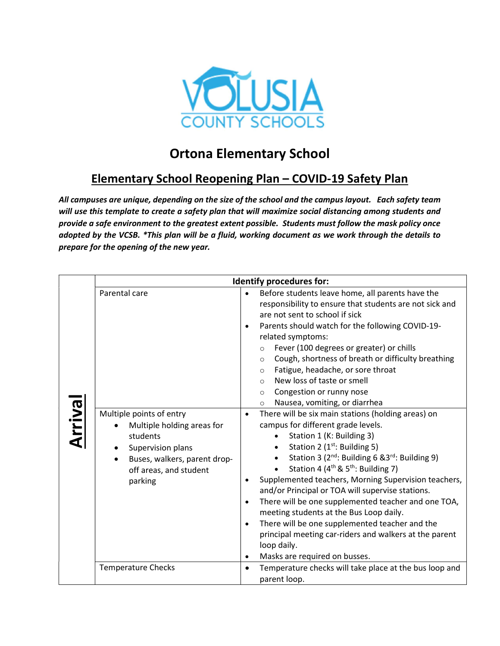

## Ortona Elementary School

## Elementary School Reopening Plan – COVID-19 Safety Plan

All campuses are unique, depending on the size of the school and the campus layout. Each safety team will use this template to create a safety plan that will maximize social distancing among students and provide a safe environment to the greatest extent possible. Students must follow the mask policy once adopted by the VCSB. \*This plan will be a fluid, working document as we work through the details to prepare for the opening of the new year.

| <b>Arrival</b> | <b>Identify procedures for:</b>                                                                                                                                           |                                                                                                                                                                                                                                                                                                                                                                                                                                                                                                                                                                                                                                                                                                                                                       |  |  |
|----------------|---------------------------------------------------------------------------------------------------------------------------------------------------------------------------|-------------------------------------------------------------------------------------------------------------------------------------------------------------------------------------------------------------------------------------------------------------------------------------------------------------------------------------------------------------------------------------------------------------------------------------------------------------------------------------------------------------------------------------------------------------------------------------------------------------------------------------------------------------------------------------------------------------------------------------------------------|--|--|
|                | Parental care                                                                                                                                                             | Before students leave home, all parents have the<br>$\bullet$<br>responsibility to ensure that students are not sick and<br>are not sent to school if sick<br>Parents should watch for the following COVID-19-<br>$\bullet$<br>related symptoms:<br>Fever (100 degrees or greater) or chills<br>$\circ$<br>Cough, shortness of breath or difficulty breathing<br>$\circ$<br>Fatigue, headache, or sore throat<br>$\circ$<br>New loss of taste or smell<br>$\Omega$<br>Congestion or runny nose<br>$\circ$<br>Nausea, vomiting, or diarrhea<br>$\circ$                                                                                                                                                                                                 |  |  |
|                | Multiple points of entry<br>Multiple holding areas for<br>students<br>Supervision plans<br>Buses, walkers, parent drop-<br>$\bullet$<br>off areas, and student<br>parking | There will be six main stations (holding areas) on<br>$\bullet$<br>campus for different grade levels.<br>Station 1 (K: Building 3)<br>Station 2 (1 <sup>st</sup> : Building 5)<br>Station 3 (2 <sup>nd</sup> : Building 6 & 3 <sup>rd</sup> : Building 9)<br>Station 4 (4 <sup>th</sup> & 5 <sup>th</sup> : Building 7)<br>Supplemented teachers, Morning Supervision teachers,<br>$\bullet$<br>and/or Principal or TOA will supervise stations.<br>There will be one supplemented teacher and one TOA,<br>$\bullet$<br>meeting students at the Bus Loop daily.<br>There will be one supplemented teacher and the<br>$\bullet$<br>principal meeting car-riders and walkers at the parent<br>loop daily.<br>Masks are required on busses.<br>$\bullet$ |  |  |
|                | <b>Temperature Checks</b>                                                                                                                                                 | Temperature checks will take place at the bus loop and<br>$\bullet$<br>parent loop.                                                                                                                                                                                                                                                                                                                                                                                                                                                                                                                                                                                                                                                                   |  |  |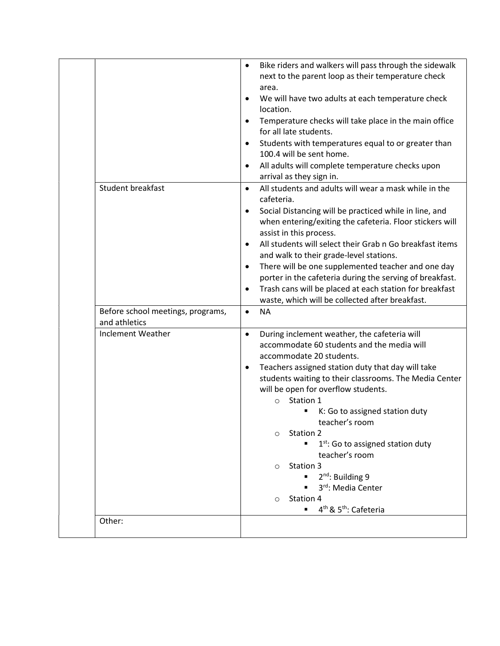| Student breakfast                                  | Bike riders and walkers will pass through the sidewalk<br>$\bullet$<br>next to the parent loop as their temperature check<br>area.<br>We will have two adults at each temperature check<br>$\bullet$<br>location.<br>Temperature checks will take place in the main office<br>for all late students.<br>Students with temperatures equal to or greater than<br>$\bullet$<br>100.4 will be sent home.<br>All adults will complete temperature checks upon<br>$\bullet$<br>arrival as they sign in.<br>All students and adults will wear a mask while in the<br>$\bullet$<br>cafeteria.                                                |
|----------------------------------------------------|--------------------------------------------------------------------------------------------------------------------------------------------------------------------------------------------------------------------------------------------------------------------------------------------------------------------------------------------------------------------------------------------------------------------------------------------------------------------------------------------------------------------------------------------------------------------------------------------------------------------------------------|
|                                                    | Social Distancing will be practiced while in line, and<br>$\bullet$<br>when entering/exiting the cafeteria. Floor stickers will<br>assist in this process.<br>All students will select their Grab n Go breakfast items<br>$\bullet$<br>and walk to their grade-level stations.<br>There will be one supplemented teacher and one day<br>$\bullet$<br>porter in the cafeteria during the serving of breakfast.<br>Trash cans will be placed at each station for breakfast<br>$\bullet$<br>waste, which will be collected after breakfast.                                                                                             |
| Before school meetings, programs,<br>and athletics | <b>NA</b><br>$\bullet$                                                                                                                                                                                                                                                                                                                                                                                                                                                                                                                                                                                                               |
| <b>Inclement Weather</b>                           | During inclement weather, the cafeteria will<br>$\bullet$<br>accommodate 60 students and the media will<br>accommodate 20 students.<br>Teachers assigned station duty that day will take<br>$\bullet$<br>students waiting to their classrooms. The Media Center<br>will be open for overflow students.<br>Station 1<br>$\circ$<br>K: Go to assigned station duty<br>teacher's room<br>Station 2<br>$\circ$<br>$1st$ : Go to assigned station duty<br>teacher's room<br>Station 3<br>$\circ$<br>$2^{nd}$ : Building 9<br>3rd: Media Center<br>Station 4<br>$\circ$<br>4 <sup>th</sup> & 5 <sup>th</sup> : Cafeteria<br>$\blacksquare$ |
| Other:                                             |                                                                                                                                                                                                                                                                                                                                                                                                                                                                                                                                                                                                                                      |
|                                                    |                                                                                                                                                                                                                                                                                                                                                                                                                                                                                                                                                                                                                                      |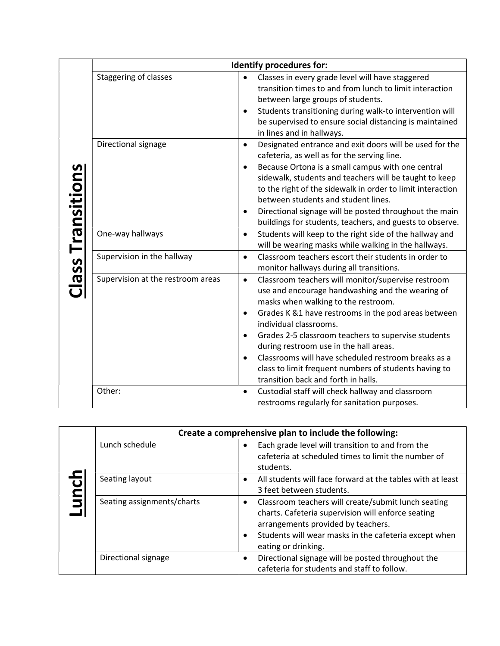|                          |                                   |                                                  | Identify procedures for:                                                                                                                                                                                                                                                                                                                                                                                                                                                               |
|--------------------------|-----------------------------------|--------------------------------------------------|----------------------------------------------------------------------------------------------------------------------------------------------------------------------------------------------------------------------------------------------------------------------------------------------------------------------------------------------------------------------------------------------------------------------------------------------------------------------------------------|
| <b>Class Transitions</b> | <b>Staggering of classes</b>      | $\bullet$<br>$\bullet$                           | Classes in every grade level will have staggered<br>transition times to and from lunch to limit interaction<br>between large groups of students.<br>Students transitioning during walk-to intervention will<br>be supervised to ensure social distancing is maintained<br>in lines and in hallways.                                                                                                                                                                                    |
|                          | Directional signage               | $\bullet$<br>$\bullet$<br>٠                      | Designated entrance and exit doors will be used for the<br>cafeteria, as well as for the serving line.<br>Because Ortona is a small campus with one central<br>sidewalk, students and teachers will be taught to keep<br>to the right of the sidewalk in order to limit interaction<br>between students and student lines.<br>Directional signage will be posted throughout the main<br>buildings for students, teachers, and guests to observe.                                       |
|                          | One-way hallways                  | $\bullet$                                        | Students will keep to the right side of the hallway and<br>will be wearing masks while walking in the hallways.                                                                                                                                                                                                                                                                                                                                                                        |
|                          | Supervision in the hallway        | $\bullet$                                        | Classroom teachers escort their students in order to<br>monitor hallways during all transitions.                                                                                                                                                                                                                                                                                                                                                                                       |
|                          | Supervision at the restroom areas | $\bullet$<br>$\bullet$<br>$\bullet$<br>$\bullet$ | Classroom teachers will monitor/supervise restroom<br>use and encourage handwashing and the wearing of<br>masks when walking to the restroom.<br>Grades K &1 have restrooms in the pod areas between<br>individual classrooms.<br>Grades 2-5 classroom teachers to supervise students<br>during restroom use in the hall areas.<br>Classrooms will have scheduled restroom breaks as a<br>class to limit frequent numbers of students having to<br>transition back and forth in halls. |
|                          | Other:                            | $\bullet$                                        | Custodial staff will check hallway and classroom<br>restrooms regularly for sanitation purposes.                                                                                                                                                                                                                                                                                                                                                                                       |

|  | Create a comprehensive plan to include the following: |  |                                                                                                                                                                                                                                 |  |
|--|-------------------------------------------------------|--|---------------------------------------------------------------------------------------------------------------------------------------------------------------------------------------------------------------------------------|--|
|  | Lunch schedule                                        |  | Each grade level will transition to and from the<br>cafeteria at scheduled times to limit the number of<br>students.                                                                                                            |  |
|  | Seating layout                                        |  | All students will face forward at the tables with at least<br>3 feet between students.                                                                                                                                          |  |
|  | Seating assignments/charts                            |  | Classroom teachers will create/submit lunch seating<br>charts. Cafeteria supervision will enforce seating<br>arrangements provided by teachers.<br>Students will wear masks in the cafeteria except when<br>eating or drinking. |  |
|  | Directional signage                                   |  | Directional signage will be posted throughout the<br>cafeteria for students and staff to follow.                                                                                                                                |  |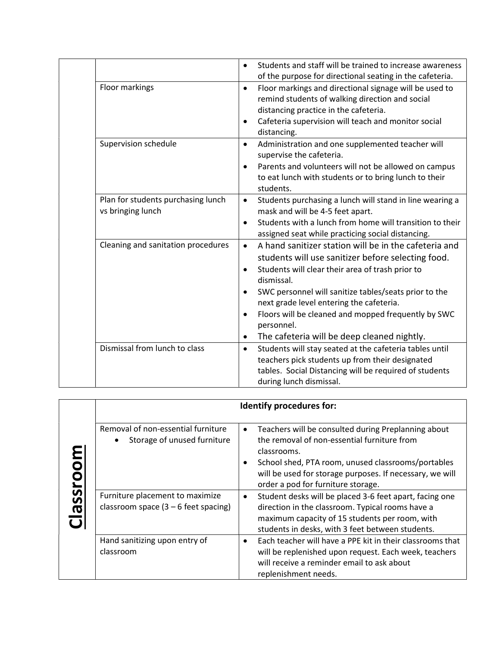|                                    | Students and staff will be trained to increase awareness<br>$\bullet$<br>of the purpose for directional seating in the cafeteria. |
|------------------------------------|-----------------------------------------------------------------------------------------------------------------------------------|
|                                    |                                                                                                                                   |
| Floor markings                     | Floor markings and directional signage will be used to<br>$\bullet$                                                               |
|                                    | remind students of walking direction and social                                                                                   |
|                                    | distancing practice in the cafeteria.                                                                                             |
|                                    | Cafeteria supervision will teach and monitor social<br>$\bullet$                                                                  |
|                                    | distancing.                                                                                                                       |
| Supervision schedule               | Administration and one supplemented teacher will<br>$\bullet$                                                                     |
|                                    | supervise the cafeteria.                                                                                                          |
|                                    | Parents and volunteers will not be allowed on campus<br>$\bullet$                                                                 |
|                                    | to eat lunch with students or to bring lunch to their                                                                             |
|                                    | students.                                                                                                                         |
| Plan for students purchasing lunch | Students purchasing a lunch will stand in line wearing a<br>$\bullet$                                                             |
| vs bringing lunch                  | mask and will be 4-5 feet apart.                                                                                                  |
|                                    | Students with a lunch from home will transition to their<br>$\bullet$                                                             |
|                                    | assigned seat while practicing social distancing.                                                                                 |
| Cleaning and sanitation procedures | A hand sanitizer station will be in the cafeteria and<br>$\bullet$                                                                |
|                                    | students will use sanitizer before selecting food.                                                                                |
|                                    | Students will clear their area of trash prior to<br>$\bullet$                                                                     |
|                                    | dismissal.                                                                                                                        |
|                                    |                                                                                                                                   |
|                                    | SWC personnel will sanitize tables/seats prior to the                                                                             |
|                                    | next grade level entering the cafeteria.                                                                                          |
|                                    | Floors will be cleaned and mopped frequently by SWC<br>$\bullet$                                                                  |
|                                    | personnel.                                                                                                                        |
|                                    | The cafeteria will be deep cleaned nightly.<br>$\bullet$                                                                          |
| Dismissal from lunch to class      | Students will stay seated at the cafeteria tables until<br>$\bullet$                                                              |
|                                    | teachers pick students up from their designated                                                                                   |
|                                    | tables. Social Distancing will be required of students                                                                            |
|                                    | during lunch dismissal.                                                                                                           |

| assroo | Identify procedures for:                                                  |           |                                                                                                                                                                                                                                                                           |  |
|--------|---------------------------------------------------------------------------|-----------|---------------------------------------------------------------------------------------------------------------------------------------------------------------------------------------------------------------------------------------------------------------------------|--|
|        | Removal of non-essential furniture<br>Storage of unused furniture<br>٠    | $\bullet$ | Teachers will be consulted during Preplanning about<br>the removal of non-essential furniture from<br>classrooms.<br>School shed, PTA room, unused classrooms/portables<br>will be used for storage purposes. If necessary, we will<br>order a pod for furniture storage. |  |
|        | Furniture placement to maximize<br>classroom space $(3 - 6$ feet spacing) | $\bullet$ | Student desks will be placed 3-6 feet apart, facing one<br>direction in the classroom. Typical rooms have a<br>maximum capacity of 15 students per room, with<br>students in desks, with 3 feet between students.                                                         |  |
|        | Hand sanitizing upon entry of<br>classroom                                |           | Each teacher will have a PPE kit in their classrooms that<br>will be replenished upon request. Each week, teachers<br>will receive a reminder email to ask about<br>replenishment needs.                                                                                  |  |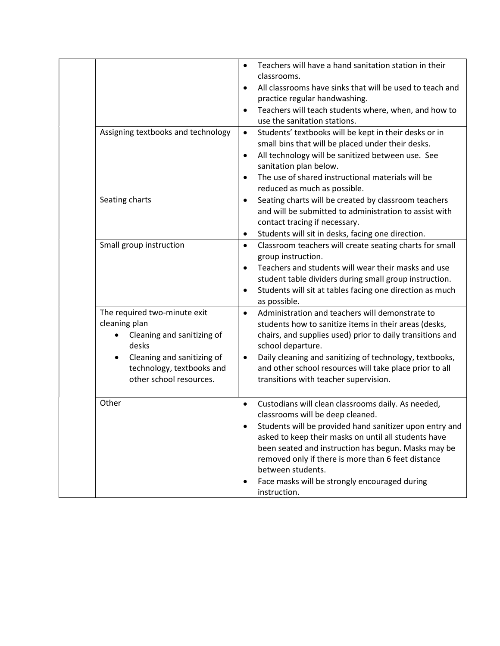|                                                                                                                                                                            | Teachers will have a hand sanitation station in their<br>$\bullet$<br>classrooms.<br>All classrooms have sinks that will be used to teach and<br>$\bullet$<br>practice regular handwashing.<br>Teachers will teach students where, when, and how to<br>$\bullet$<br>use the sanitation stations.                                                                                                                                       |
|----------------------------------------------------------------------------------------------------------------------------------------------------------------------------|----------------------------------------------------------------------------------------------------------------------------------------------------------------------------------------------------------------------------------------------------------------------------------------------------------------------------------------------------------------------------------------------------------------------------------------|
| Assigning textbooks and technology                                                                                                                                         | Students' textbooks will be kept in their desks or in<br>$\bullet$<br>small bins that will be placed under their desks.<br>All technology will be sanitized between use. See<br>$\bullet$<br>sanitation plan below.<br>The use of shared instructional materials will be<br>$\bullet$<br>reduced as much as possible.                                                                                                                  |
| Seating charts                                                                                                                                                             | Seating charts will be created by classroom teachers<br>$\bullet$<br>and will be submitted to administration to assist with<br>contact tracing if necessary.<br>Students will sit in desks, facing one direction.<br>٠                                                                                                                                                                                                                 |
| Small group instruction                                                                                                                                                    | Classroom teachers will create seating charts for small<br>$\bullet$<br>group instruction.<br>Teachers and students will wear their masks and use<br>$\bullet$<br>student table dividers during small group instruction.<br>Students will sit at tables facing one direction as much<br>$\bullet$<br>as possible.                                                                                                                      |
| The required two-minute exit<br>cleaning plan<br>Cleaning and sanitizing of<br>desks<br>Cleaning and sanitizing of<br>technology, textbooks and<br>other school resources. | Administration and teachers will demonstrate to<br>$\bullet$<br>students how to sanitize items in their areas (desks,<br>chairs, and supplies used) prior to daily transitions and<br>school departure.<br>Daily cleaning and sanitizing of technology, textbooks,<br>$\bullet$<br>and other school resources will take place prior to all<br>transitions with teacher supervision.                                                    |
| Other                                                                                                                                                                      | Custodians will clean classrooms daily. As needed,<br>$\bullet$<br>classrooms will be deep cleaned.<br>Students will be provided hand sanitizer upon entry and<br>asked to keep their masks on until all students have<br>been seated and instruction has begun. Masks may be<br>removed only if there is more than 6 feet distance<br>between students.<br>Face masks will be strongly encouraged during<br>$\bullet$<br>instruction. |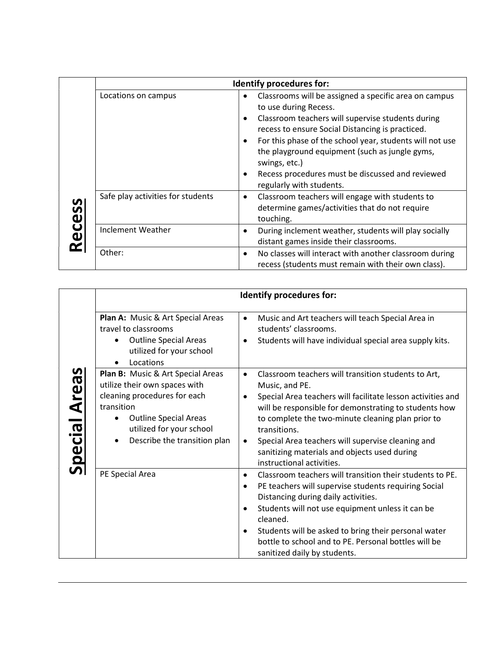|             | Identify procedures for:          |                                     |                                                                                                                                                                                                                                                                                                                                                                                                        |  |
|-------------|-----------------------------------|-------------------------------------|--------------------------------------------------------------------------------------------------------------------------------------------------------------------------------------------------------------------------------------------------------------------------------------------------------------------------------------------------------------------------------------------------------|--|
| Ö<br>O<br>Ñ | Locations on campus               | $\bullet$<br>$\bullet$<br>$\bullet$ | Classrooms will be assigned a specific area on campus<br>to use during Recess.<br>Classroom teachers will supervise students during<br>recess to ensure Social Distancing is practiced.<br>For this phase of the school year, students will not use<br>the playground equipment (such as jungle gyms,<br>swings, etc.)<br>Recess procedures must be discussed and reviewed<br>regularly with students. |  |
|             | Safe play activities for students | $\bullet$                           | Classroom teachers will engage with students to<br>determine games/activities that do not require<br>touching.                                                                                                                                                                                                                                                                                         |  |
|             | Inclement Weather                 |                                     | During inclement weather, students will play socially<br>distant games inside their classrooms.                                                                                                                                                                                                                                                                                                        |  |
|             | Other:                            | $\bullet$                           | No classes will interact with another classroom during<br>recess (students must remain with their own class).                                                                                                                                                                                                                                                                                          |  |

|              | Identify procedures for:                                                                                                                                                                                                  |                                                                                                                                                                                                                                                                                                                                                                                                                                             |  |  |
|--------------|---------------------------------------------------------------------------------------------------------------------------------------------------------------------------------------------------------------------------|---------------------------------------------------------------------------------------------------------------------------------------------------------------------------------------------------------------------------------------------------------------------------------------------------------------------------------------------------------------------------------------------------------------------------------------------|--|--|
| pecial Areas | Plan A: Music & Art Special Areas<br>travel to classrooms<br><b>Outline Special Areas</b><br>utilized for your school<br>Locations                                                                                        | Music and Art teachers will teach Special Area in<br>$\bullet$<br>students' classrooms.<br>Students will have individual special area supply kits.<br>$\bullet$                                                                                                                                                                                                                                                                             |  |  |
|              | Plan B: Music & Art Special Areas<br>utilize their own spaces with<br>cleaning procedures for each<br>transition<br><b>Outline Special Areas</b><br>utilized for your school<br>Describe the transition plan<br>$\bullet$ | Classroom teachers will transition students to Art,<br>$\bullet$<br>Music, and PE.<br>Special Area teachers will facilitate lesson activities and<br>$\bullet$<br>will be responsible for demonstrating to students how<br>to complete the two-minute cleaning plan prior to<br>transitions.<br>Special Area teachers will supervise cleaning and<br>$\bullet$<br>sanitizing materials and objects used during<br>instructional activities. |  |  |
|              | PE Special Area                                                                                                                                                                                                           | Classroom teachers will transition their students to PE.<br>$\bullet$<br>PE teachers will supervise students requiring Social<br>$\bullet$<br>Distancing during daily activities.<br>Students will not use equipment unless it can be<br>$\bullet$<br>cleaned.<br>Students will be asked to bring their personal water<br>$\bullet$<br>bottle to school and to PE. Personal bottles will be<br>sanitized daily by students.                 |  |  |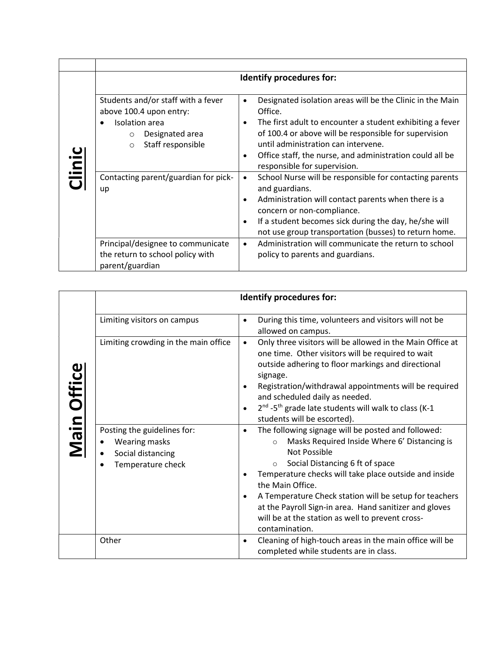| Clinic | Identify procedures for:                                                                                                                                   |                                                                                                                                                                                                                                                                                                                                                      |  |  |  |
|--------|------------------------------------------------------------------------------------------------------------------------------------------------------------|------------------------------------------------------------------------------------------------------------------------------------------------------------------------------------------------------------------------------------------------------------------------------------------------------------------------------------------------------|--|--|--|
|        | Students and/or staff with a fever<br>above 100.4 upon entry:<br>Isolation area<br>$\bullet$<br>Designated area<br>$\circ$<br>Staff responsible<br>$\circ$ | Designated isolation areas will be the Clinic in the Main<br>$\bullet$<br>Office.<br>The first adult to encounter a student exhibiting a fever<br>٠<br>of 100.4 or above will be responsible for supervision<br>until administration can intervene.<br>Office staff, the nurse, and administration could all be<br>٠<br>responsible for supervision. |  |  |  |
|        | Contacting parent/guardian for pick-<br>up                                                                                                                 | School Nurse will be responsible for contacting parents<br>$\bullet$<br>and guardians.<br>Administration will contact parents when there is a<br>٠<br>concern or non-compliance.<br>If a student becomes sick during the day, he/she will<br>$\bullet$<br>not use group transportation (busses) to return home.                                      |  |  |  |
|        | Principal/designee to communicate<br>the return to school policy with<br>parent/guardian                                                                   | Administration will communicate the return to school<br>$\bullet$<br>policy to parents and guardians.                                                                                                                                                                                                                                                |  |  |  |

| <b>Main Office</b> | <b>Identify procedures for:</b>                                                                     |                                                                                                                                                                                                                                                                                                                                                                                                                                                                                   |  |  |
|--------------------|-----------------------------------------------------------------------------------------------------|-----------------------------------------------------------------------------------------------------------------------------------------------------------------------------------------------------------------------------------------------------------------------------------------------------------------------------------------------------------------------------------------------------------------------------------------------------------------------------------|--|--|
|                    | Limiting visitors on campus                                                                         | During this time, volunteers and visitors will not be<br>٠<br>allowed on campus.                                                                                                                                                                                                                                                                                                                                                                                                  |  |  |
|                    | Limiting crowding in the main office                                                                | Only three visitors will be allowed in the Main Office at<br>$\bullet$<br>one time. Other visitors will be required to wait<br>outside adhering to floor markings and directional<br>signage.<br>Registration/withdrawal appointments will be required<br>٠<br>and scheduled daily as needed.<br>2 <sup>nd</sup> -5 <sup>th</sup> grade late students will walk to class (K-1<br>٠<br>students will be escorted).                                                                 |  |  |
|                    | Posting the guidelines for:<br>Wearing masks<br>Social distancing<br>Temperature check<br>$\bullet$ | The following signage will be posted and followed:<br>٠<br>Masks Required Inside Where 6' Distancing is<br>$\circ$<br>Not Possible<br>Social Distancing 6 ft of space<br>$\circ$<br>Temperature checks will take place outside and inside<br>$\bullet$<br>the Main Office.<br>A Temperature Check station will be setup for teachers<br>$\bullet$<br>at the Payroll Sign-in area. Hand sanitizer and gloves<br>will be at the station as well to prevent cross-<br>contamination. |  |  |
|                    | Other                                                                                               | Cleaning of high-touch areas in the main office will be<br>٠<br>completed while students are in class.                                                                                                                                                                                                                                                                                                                                                                            |  |  |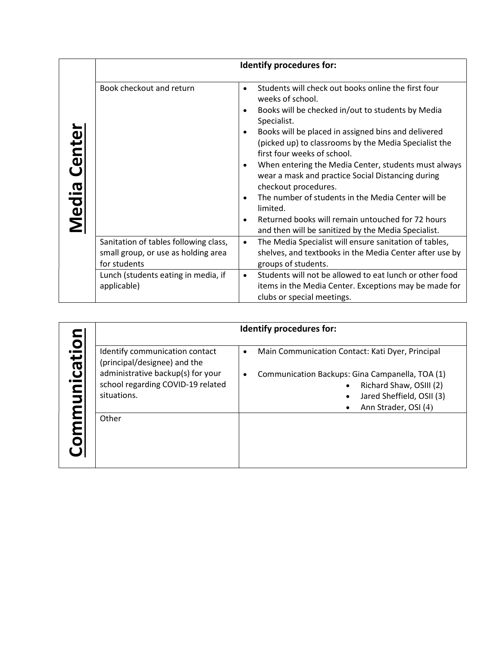|                 | Identify procedures for:                                                                     |                                          |                                                                                                                                                                                                                                                                                                                                                                                                                                                                                                                                                                                                               |  |
|-----------------|----------------------------------------------------------------------------------------------|------------------------------------------|---------------------------------------------------------------------------------------------------------------------------------------------------------------------------------------------------------------------------------------------------------------------------------------------------------------------------------------------------------------------------------------------------------------------------------------------------------------------------------------------------------------------------------------------------------------------------------------------------------------|--|
| Center<br>Media | Book checkout and return                                                                     | $\bullet$<br>٠<br>$\bullet$<br>$\bullet$ | Students will check out books online the first four<br>weeks of school.<br>Books will be checked in/out to students by Media<br>Specialist.<br>Books will be placed in assigned bins and delivered<br>(picked up) to classrooms by the Media Specialist the<br>first four weeks of school.<br>When entering the Media Center, students must always<br>wear a mask and practice Social Distancing during<br>checkout procedures.<br>The number of students in the Media Center will be<br>limited.<br>Returned books will remain untouched for 72 hours<br>and then will be sanitized by the Media Specialist. |  |
|                 | Sanitation of tables following class,<br>small group, or use as holding area<br>for students | $\bullet$                                | The Media Specialist will ensure sanitation of tables,<br>shelves, and textbooks in the Media Center after use by<br>groups of students.                                                                                                                                                                                                                                                                                                                                                                                                                                                                      |  |
|                 | Lunch (students eating in media, if<br>applicable)                                           | $\bullet$                                | Students will not be allowed to eat lunch or other food<br>items in the Media Center. Exceptions may be made for<br>clubs or special meetings.                                                                                                                                                                                                                                                                                                                                                                                                                                                                |  |

|         | <b>Identify procedures for:</b>                                                                                                          |                                                                                                                                                                       |  |  |
|---------|------------------------------------------------------------------------------------------------------------------------------------------|-----------------------------------------------------------------------------------------------------------------------------------------------------------------------|--|--|
| nicatio | Identify communication contact<br>(principal/designee) and the<br>administrative backup(s) for your<br>school regarding COVID-19 related | Main Communication Contact: Kati Dyer, Principal<br>$\bullet$<br>Communication Backups: Gina Campanella, TOA (1)<br>$\bullet$<br>Richard Shaw, OSIII (2)<br>$\bullet$ |  |  |
|         | situations.                                                                                                                              | Jared Sheffield, OSII (3)<br>Ann Strader, OSI (4)                                                                                                                     |  |  |
|         | Other                                                                                                                                    |                                                                                                                                                                       |  |  |
|         |                                                                                                                                          |                                                                                                                                                                       |  |  |